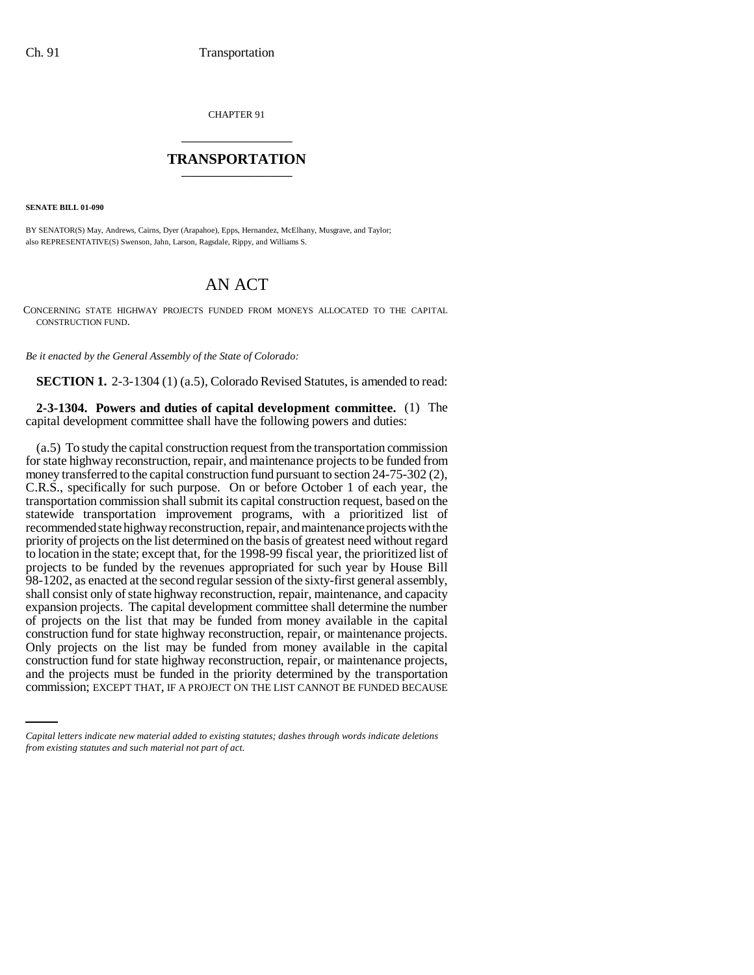CHAPTER 91 \_\_\_\_\_\_\_\_\_\_\_\_\_\_\_

## **TRANSPORTATION** \_\_\_\_\_\_\_\_\_\_\_\_\_\_\_

**SENATE BILL 01-090**

BY SENATOR(S) May, Andrews, Cairns, Dyer (Arapahoe), Epps, Hernandez, McElhany, Musgrave, and Taylor; also REPRESENTATIVE(S) Swenson, Jahn, Larson, Ragsdale, Rippy, and Williams S.

## AN ACT

CONCERNING STATE HIGHWAY PROJECTS FUNDED FROM MONEYS ALLOCATED TO THE CAPITAL CONSTRUCTION FUND.

*Be it enacted by the General Assembly of the State of Colorado:*

**SECTION 1.** 2-3-1304 (1) (a.5), Colorado Revised Statutes, is amended to read:

**2-3-1304. Powers and duties of capital development committee.** (1) The capital development committee shall have the following powers and duties:

construction fund for state highway reconstruction, repair, or maintenance projects, (a.5) To study the capital construction request from the transportation commission for state highway reconstruction, repair, and maintenance projects to be funded from money transferred to the capital construction fund pursuant to section 24-75-302 (2), C.R.S., specifically for such purpose. On or before October 1 of each year, the transportation commission shall submit its capital construction request, based on the statewide transportation improvement programs, with a prioritized list of recommended state highway reconstruction, repair, and maintenance projects with the priority of projects on the list determined on the basis of greatest need without regard to location in the state; except that, for the 1998-99 fiscal year, the prioritized list of projects to be funded by the revenues appropriated for such year by House Bill 98-1202, as enacted at the second regular session of the sixty-first general assembly, shall consist only of state highway reconstruction, repair, maintenance, and capacity expansion projects. The capital development committee shall determine the number of projects on the list that may be funded from money available in the capital construction fund for state highway reconstruction, repair, or maintenance projects. Only projects on the list may be funded from money available in the capital and the projects must be funded in the priority determined by the transportation commission; EXCEPT THAT, IF A PROJECT ON THE LIST CANNOT BE FUNDED BECAUSE

*Capital letters indicate new material added to existing statutes; dashes through words indicate deletions from existing statutes and such material not part of act.*